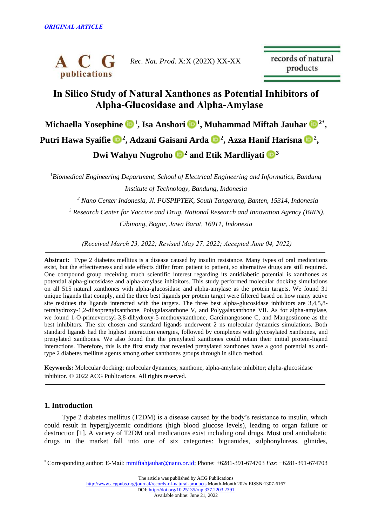

*Rec. Nat. Prod*. X:X (202X) XX-XX

records of natural products

# **In Silico Study of Natural Xanthones as Potential Inhibitors of Alpha-Glucosidase and Alpha-Amylase**

**Michaella Yosephine [1](https://orcid.org/0000-0002-6380-9865) , Isa Anshori [1](https://orcid.org/0000-0001-5134-7264) , Muhammad Miftah Jauhar [2](https://orcid.org/0000-0002-5826-5904)\* ,** 

**Putri Hawa Syaifie [2](https://orcid.org/0000-0001-8566-7960) , Adzani Gaisani Arda [2](https://orcid.org/0000-0001-8566-7960) , Azza Hanif Harisna [2](https://orcid.org/0000-0002-8313-7058) ,** 

**Dwi Wahyu Nugroho [2](https://orcid.org/0000-0002-7020-8582) and Etik Mardliyati [3](https://orcid.org/0000-0002-3621-9659)**

*<sup>1</sup>Biomedical Engineering Department, School of Electrical Engineering and Informatics, Bandung Institute of Technology, Bandung, Indonesia*

*<sup>2</sup> Nano Center Indonesia, Jl. PUSPIPTEK, South Tangerang, Banten, 15314, Indonesia* 

*<sup>3</sup> Research Center for Vaccine and Drug, National Research and Innovation Agency (BRIN), Cibinong, Bogor, Jawa Barat, 16911, Indonesia*

*(Received March 23, 2022; Revised May 27, 2022; Accepted June 04, 2022)*

**Abstract:** Type 2 diabetes mellitus is a disease caused by insulin resistance. Many types of oral medications exist, but the effectiveness and side effects differ from patient to patient, so alternative drugs are still required. One compound group receiving much scientific interest regarding its antidiabetic potential is xanthones as potential alpha-glucosidase and alpha-amylase inhibitors. This study performed molecular docking simulations on all 515 natural xanthones with alpha-glucosidase and alpha-amylase as the protein targets. We found 31 unique ligands that comply, and the three best ligands per protein target were filtered based on how many active site residues the ligands interacted with the targets. The three best alpha-glucosidase inhibitors are 3,4,5,8 tetrahydroxy-1,2-diisoprenylxanthone, Polygalaxanthone V, and Polygalaxanthone VII. As for alpha-amylase, we found 1-O-primeverosyl-3,8-dihydroxy-5-methoxyxanthone, Garcimangosone C, and Mangostinone as the best inhibitors. The six chosen and standard ligands underwent 2 ns molecular dynamics simulations. Both standard ligands had the highest interaction energies, followed by complexes with glycosylated xanthones, and prenylated xanthones. We also found that the prenylated xanthones could retain their initial protein-ligand interactions. Therefore, this is the first study that revealed prenylated xanthones have a good potential as antitype 2 diabetes mellitus agents among other xanthones groups through in silico method.

**Keywords:** Molecular docking; molecular dynamics; xanthone, alpha-amylase inhibitor; alpha-glucosidase inhibitor. © 2022 ACG Publications. All rights reserved.

# **1. Introduction**

Type 2 diabetes mellitus (T2DM) is a disease caused by the body's resistance to insulin, which could result in hyperglycemic conditions (high blood glucose levels), leading to organ failure or destruction [1]. A variety of T2DM oral medications exist including oral drugs. Most oral antidiabetic drugs in the market fall into one of six categories: biguanides, sulphonylureas, glinides,

The article was published by ACG Publications

<http://www.acgpubs.org/journal/records-of-natural-products> Month-Month 202x EISSN:1307-6167 DOI[: http://doi.org/10.25135/rnp.337.2203.2391](http://doi.org/10.25135/rnp.337.2203.2391)

Available online: June 21, 2022

<sup>\*</sup> Corresponding author: E-Mail: [mmiftahjauhar@nano.or.id;](mailto:mmiftahjauhar@nano.or.id) Phone: +6281-391-674703 *Fax*: +6281-391-674703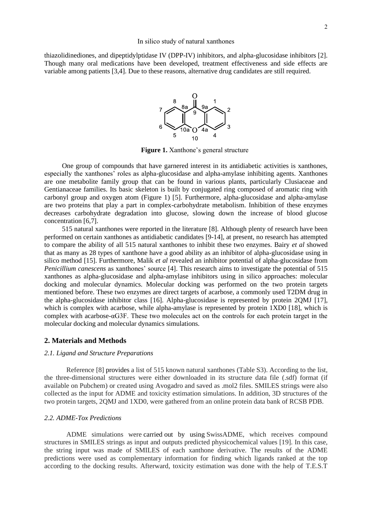thiazolidinediones, and dipeptidylptidase IV (DPP-IV) inhibitors, and alpha-glucosidase inhibitors [2]. Though many oral medications have been developed, treatment effectiveness and side effects are variable among patients [3,4]. Due to these reasons, alternative drug candidates are still required.



**Figure 1.** Xanthone's general structure

One group of compounds that have garnered interest in its antidiabetic activities is xanthones, especially the xanthones' roles as alpha-glucosidase and alpha-amylase inhibiting agents. Xanthones are one metabolite family group that can be found in various plants, particularly Clusiaceae and Gentianaceae families. Its basic skeleton is built by conjugated ring composed of aromatic ring with carbonyl group and oxygen atom (Figure 1) [5]. Furthermore, alpha-glucosidase and alpha-amylase are two proteins that play a part in complex-carbohydrate metabolism. Inhibition of these enzymes decreases carbohydrate degradation into glucose, slowing down the increase of blood glucose concentration [6,7].

515 natural xanthones were reported in the literature [8]. Although plenty of research have been performed on certain xanthones as antidiabetic candidates [9-14], at present, no research has attempted to compare the ability of all 515 natural xanthones to inhibit these two enzymes. Bairy *et al* showed that as many as 28 types of xanthone have a good ability as an inhibitor of alpha-glucosidase using in silico method [15]. Furthermore, Malik *et al* revealed an inhibitor potential of alpha-glucosidase from *Penicillium canescens* as xanthones' source [4]. This research aims to investigate the potential of 515 xanthones as alpha-glucosidase and alpha-amylase inhibitors using in silico approaches: molecular docking and molecular dynamics. Molecular docking was performed on the two protein targets mentioned before. These two enzymes are direct targets of acarbose, a commonly used T2DM drug in the alpha-glucosidase inhibitor class [16]. Alpha-glucosidase is represented by protein 2QMJ [17], which is complex with acarbose, while alpha-amylase is represented by protein 1XD0 [18], which is complex with acarbose-αG3F. These two molecules act on the controls for each protein target in the molecular docking and molecular dynamics simulations.

### **2. Materials and Methods**

### *2.1. Ligand and Structure Preparations*

Reference [8] provides a list of 515 known natural xanthones (Table S3). According to the list, the three-dimensional structures were either downloaded in its structure data file (.sdf) format (if available on Pubchem) or created using Avogadro and saved as .mol2 files. SMILES strings were also collected as the input for ADME and toxicity estimation simulations. In addition, 3D structures of the two protein targets, 2QMJ and 1XD0, were gathered from an online protein data bank of RCSB PDB.

### *2.2. ADME-Tox Predictions*

ADME simulations were carried out by using SwissADME, which receives compound structures in SMILES strings as input and outputs predicted physicochemical values [19]. In this case, the string input was made of SMILES of each xanthone derivative. The results of the ADME predictions were used as complementary information for finding which ligands ranked at the top according to the docking results. Afterward, toxicity estimation was done with the help of T.E.S.T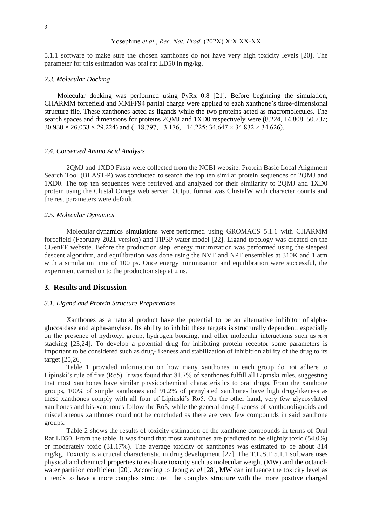# Yosephine *et.al.*, *Rec. Nat. Prod*. (202X) X:X XX-XX

5.1.1 software to make sure the chosen xanthones do not have very high toxicity levels [20]. The parameter for this estimation was oral rat LD50 in mg/kg.

# *2.3. Molecular Docking*

Molecular docking was performed using PyRx 0.8 [21]. Before beginning the simulation, CHARMM forcefield and MMFF94 partial charge were applied to each xanthone's three-dimensional structure file. These xanthones acted as ligands while the two proteins acted as macromolecules. The search spaces and dimensions for proteins 2QMJ and 1XD0 respectively were (8.224, 14.808, 50.737;  $30.938 \times 26.053 \times 29.224$ ) and  $(-18.797, -3.176, -14.225; 34.647 \times 34.832 \times 34.626)$ .

### *2.4. Conserved Amino Acid Analysis*

2QMJ and 1XD0 Fasta were collected from the NCBI website. Protein Basic Local Alignment Search Tool (BLAST-P) was conducted to search the top ten similar protein sequences of 2QMJ and 1XD0. The top ten sequences were retrieved and analyzed for their similarity to 2QMJ and 1XD0 protein using the Clustal Omega web server. Output format was ClustalW with character counts and the rest parameters were default.

#### *2.5. Molecular Dynamics*

Molecular dynamics simulations were performed using GROMACS 5.1.1 with CHARMM forcefield (February 2021 version) and TIP3P water model [22]. Ligand topology was created on the CGenFF website. Before the production step, energy minimization was performed using the steepest descent algorithm, and equilibration was done using the NVT and NPT ensembles at 310K and 1 atm with a simulation time of 100 ps. Once energy minimization and equilibration were successful, the experiment carried on to the production step at 2 ns.

# **3. Results and Discussion**

### *3.1. Ligand and Protein Structure Preparations*

Xanthones as a natural product have the potential to be an alternative inhibitor of alphaglucosidase and alpha-amylase. Its ability to inhibit these targets is structurally dependent, especially on the presence of hydroxyl group, hydrogen bonding, and other molecular interactions such as  $\pi$ - $\pi$ stacking [23,24]. To develop a potential drug for inhibiting protein receptor some parameters is important to be considered such as drug-likeness and stabilization of inhibition ability of the drug to its target [25,26]

Table 1 provided information on how many xanthones in each group do not adhere to Lipinski's rule of five (Ro5). It was found that 81.7% of xanthones fulfill all Lipinski rules, suggesting that most xanthones have similar physicochemical characteristics to oral drugs. From the xanthone groups, 100% of simple xanthones and 91.2% of prenylated xanthones have high drug-likeness as these xanthones comply with all four of Lipinski's Ro5. On the other hand, very few glycosylated xanthones and bis-xanthones follow the Ro5, while the general drug-likeness of xanthonolignoids and miscellaneous xanthones could not be concluded as there are very few compounds in said xanthone groups.

Table 2 shows the results of toxicity estimation of the xanthone compounds in terms of Oral Rat LD50. From the table, it was found that most xanthones are predicted to be slightly toxic (54.0%) or moderately toxic (31.17%). The average toxicity of xanthones was estimated to be about 814 mg/kg. Toxicity is a crucial characteristic in drug development [27]. The T.E.S.T 5.1.1 software uses physical and chemical properties to evaluate toxicity such as molecular weight (MW) and the octanolwater partition coefficient [20]. According to Jeong *et al* [28], MW can influence the toxicity level as it tends to have a more complex structure. The complex structure with the more positive charged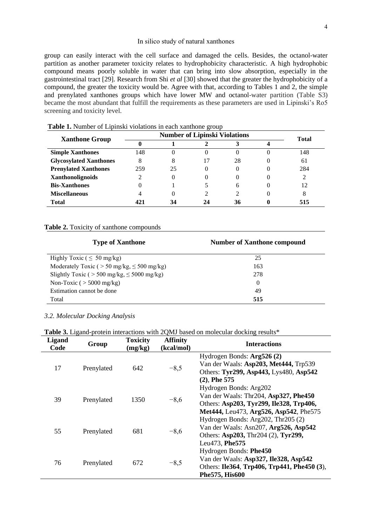group can easily interact with the cell surface and damaged the cells. Besides, the octanol-water partition as another parameter toxicity relates to hydrophobicity characteristic. A high hydrophobic compound means poorly soluble in water that can bring into slow absorption, especially in the gastrointestinal tract [29]. Research from Shi *et al* [30] showed that the greater the hydrophobicity of a compound, the greater the toxicity would be. Agree with that, according to Tables 1 and 2, the simple and prenylated xanthones groups which have lower MW and octanol-water partition (Table S3) became the most abundant that fulfill the requirements as these parameters are used in Lipinski's Ro5 screening and toxicity level.

| <b>Xanthone Group</b>         |     | <b>Total</b> |    |   |     |
|-------------------------------|-----|--------------|----|---|-----|
|                               |     |              |    |   |     |
| <b>Simple Xanthones</b>       | 148 | O            |    | 0 | 148 |
| <b>Glycosylated Xanthones</b> |     | 8            | 28 |   | 61  |
| <b>Prenylated Xanthones</b>   | 259 | 25           |    | 0 | 284 |
| Xanthonolignoids              |     | 0            |    |   |     |
| <b>Bis-Xanthones</b>          |     |              | 6  |   | 12  |
| <b>Miscellaneous</b>          |     | O            |    |   | 8   |
| <b>Total</b>                  |     | 34           | 36 |   | 515 |

 **Table 1.** Number of Lipinski violations in each xanthone group

#### **Table 2.** Toxicity of xanthone compounds

| <b>Type of Xanthone</b>                            | <b>Number of Xanthone compound</b> |
|----------------------------------------------------|------------------------------------|
| Highly Toxic ( $\leq 50$ mg/kg)                    | 25                                 |
| Moderately Toxic ( $> 50$ mg/kg, $\leq 500$ mg/kg) | 163                                |
| Slightly Toxic ( $> 500$ mg/kg, $\leq 5000$ mg/kg) | 278                                |
| Non-Toxic ( $>$ 5000 mg/kg)                        | $\Omega$                           |
| Estimation cannot be done                          | 49                                 |
| Total                                              | 515                                |

# *3.2. Molecular Docking Analysis*

**Table 3.** Ligand-protein interactions with 2QMJ based on molecular docking results\*

| <b>Ligand</b><br>Code | Group      | <b>Toxicity</b><br>(mg/kg) | <b>Affinity</b><br>(kcal/mol) | <b>Interactions</b>                                                                                                                                  |
|-----------------------|------------|----------------------------|-------------------------------|------------------------------------------------------------------------------------------------------------------------------------------------------|
| 17                    | Prenylated | 642                        | $-8,5$                        | Hydrogen Bonds: Arg526 (2)<br>Van der Waals: Asp203, Met444, Trp539<br>Others: Tyr299, Asp443, Lys480, Asp542<br>$(2)$ , Phe 575                     |
| 39                    | Prenylated | 1350                       | $-8,6$                        | Hydrogen Bonds: Arg202<br>Van der Waals: Thr204, Asp327, Phe450<br>Others: Asp203, Tyr299, Ile328, Trp406,<br>Met444, Leu473, Arg526, Asp542, Phe575 |
| 55                    | Prenylated | 681                        | $-8,6$                        | Hydrogen Bonds: Arg202, Thr205 (2)<br>Van der Waals: Asn207, Arg526, Asp542<br>Others: Asp203, Thr204 (2), Tyr299,<br>Leu473, Phe575                 |
| 76                    | Prenylated | 672                        | $-8,5$                        | Hydrogen Bonds: Phe450<br>Van der Waals: Asp327, Ile328, Asp542<br>Others: Ile364, Trp406, Trp441, Phe450 (3),<br>Phe575, His600                     |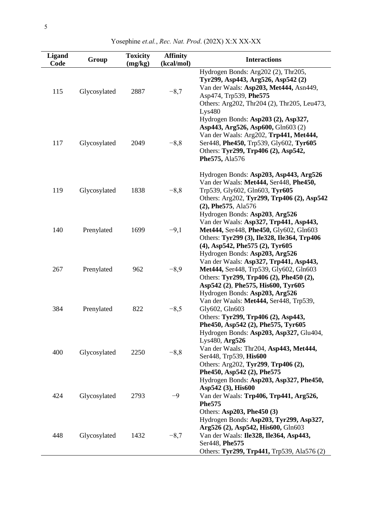| <b>Ligand</b><br>Code | Group        | <b>Toxicity</b><br>(mg/kg) | <b>Affinity</b><br>(kcal/mol) | <b>Interactions</b>                                                                                                                                                                                                    |
|-----------------------|--------------|----------------------------|-------------------------------|------------------------------------------------------------------------------------------------------------------------------------------------------------------------------------------------------------------------|
| 115                   | Glycosylated | 2887                       | $-8,7$                        | Hydrogen Bonds: Arg202 (2), Thr205,<br>Tyr299, Asp443, Arg526, Asp542 (2)<br>Van der Waals: Asp203, Met444, Asn449,<br>Asp474, Trp539, Phe575<br>Others: Arg202, Thr204 (2), Thr205, Leu473,<br>Lys480                 |
| 117                   | Glycosylated | 2049                       | $-8,8$                        | Hydrogen Bonds: Asp203 (2), Asp327,<br>Asp443, Arg526, Asp600, Gln603 (2)<br>Van der Waals: Arg202, Trp441, Met444,<br>Ser448, Phe450, Trp539, Gly602, Tyr605<br>Others: Tyr299, Trp406 (2), Asp542,<br>Phe575, Ala576 |
| 119                   | Glycosylated | 1838                       | $-8,8$                        | Hydrogen Bonds: Asp203, Asp443, Arg526<br>Van der Waals: Met444, Ser448, Phe450,<br>Trp539, Gly602, Gln603, Tyr605<br>Others: Arg202, Tyr299, Trp406 (2), Asp542<br>(2), Phe575, Ala576                                |
| 140                   | Prenylated   | 1699                       | $-9,1$                        | Hydrogen Bonds: Asp203, Arg526<br>Van der Waals: Asp327, Trp441, Asp443,<br>Met444, Ser448, Phe450, Gly602, Gln603<br>Others: Tyr299 (3), Ile328, Ile364, Trp406<br>(4), Asp542, Phe575 (2), Tyr605                    |
| 267                   | Prenylated   | 962                        | $-8,9$                        | Hydrogen Bonds: Asp203, Arg526<br>Van der Waals: Asp327, Trp441, Asp443,<br>Met444, Ser448, Trp539, Gly602, Gln603<br>Others: Tyr299, Trp406 (2), Phe450 (2),<br>Asp542 (2), Phe575, His600, Tyr605                    |
| 384                   | Prenylated   | 822                        | $-8,5$                        | Hydrogen Bonds: Asp203, Arg526<br>Van der Waals: Met444, Ser448, Trp539,<br>Gly602, Gln603<br>Others: Tyr299, Trp406 (2), Asp443,<br>Phe450, Asp542 (2), Phe575, Tyr605                                                |
| 400                   | Glycosylated | 2250                       | $-8,8$                        | Hydrogen Bonds: Asp203, Asp327, Glu404,<br>Lys480, Arg526<br>Van der Waals: Thr204, Asp443, Met444,<br>Ser448, Trp539, His600<br>Others: Arg202, Tyr299, Trp406 (2),                                                   |
| 424                   | Glycosylated | 2793                       | $-9$                          | Phe450, Asp542 (2), Phe575<br>Hydrogen Bonds: Asp203, Asp327, Phe450,<br>Asp542 (3), His600<br>Van der Waals: Trp406, Trp441, Arg526,<br>Phe575                                                                        |
| 448                   | Glycosylated | 1432                       | $-8,7$                        | Others: Asp203, Phe450 (3)<br>Hydrogen Bonds: Asp203, Tyr299, Asp327,<br>Arg526 (2), Asp542, His600, Gln603<br>Van der Waals: Ile328, Ile364, Asp443,<br>Ser448, Phe575<br>Others: Tyr299, Trp441, Trp539, Ala576 (2)  |

Yosephine *et.al.*, *Rec. Nat. Prod*. (202X) X:X XX-XX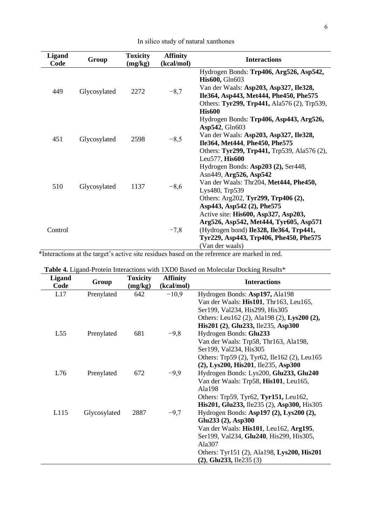| Ligand<br>Code | Group        | <b>Toxicity</b><br>(mg/kg) | <b>Affinity</b><br>(kcal/mol) | <b>Interactions</b>                                                                                                                                                                                                  |
|----------------|--------------|----------------------------|-------------------------------|----------------------------------------------------------------------------------------------------------------------------------------------------------------------------------------------------------------------|
| 449            | Glycosylated | 2272                       | $-8,7$                        | Hydrogen Bonds: Trp406, Arg526, Asp542,<br><b>His600, Gln603</b><br>Van der Waals: Asp203, Asp327, Ile328,<br>Ile364, Asp443, Met444, Phe450, Phe575<br>Others: Tyr299, Trp441, Ala576 (2), Trp539,<br><b>His600</b> |
| 451            | Glycosylated | 2598                       | $-8,5$                        | Hydrogen Bonds: Trp406, Asp443, Arg526,<br>Asp542, Gln603<br>Van der Waals: Asp203, Asp327, Ile328,<br>Ile364, Met444, Phe450, Phe575<br>Others: Tyr299, Trp441, Trp539, Ala576 (2),<br>Leu577, His600               |
| 510            | Glycosylated | 1137                       | $-8,6$                        | Hydrogen Bonds: Asp203 (2), Ser448,<br>Asn449, Arg526, Asp542<br>Van der Waals: Thr204, Met444, Phe450,<br>Lys480, Trp539<br>Others: Arg202, Tyr299, Trp406 (2),<br>Asp443, Asp542 (2), Phe575                       |
| Control        |              |                            | $-7,8$                        | Active site: His600, Asp327, Asp203,<br>Arg526, Asp542, Met444, Tyr605, Asp571<br>(Hydrogen bond) Ile328, Ile364, Trp441,<br>Tyr229, Asp443, Trp406, Phe450, Phe575<br>(Van der waals)                               |

\*Interactions at the target's active site residues based on the reference are marked in red.

| <b>Ligand</b><br>Code | Group        | <b>Toxicity</b><br>(mg/kg) | <b>Affinity</b><br>(kcal/mol) | <b>Interactions</b>                                          |
|-----------------------|--------------|----------------------------|-------------------------------|--------------------------------------------------------------|
| L17                   | Prenylated   | 642                        | $-10,9$                       | Hydrogen Bonds: Asp197, Ala198                               |
|                       |              |                            |                               | Van der Waals: His101, Thr163, Leu165,                       |
|                       |              |                            |                               | Ser199, Val234, His299, His305                               |
|                       |              |                            |                               | Others: Leu162 (2), Ala198 (2), Lys200 (2),                  |
|                       |              |                            |                               | His201 (2), Glu233, Ile235, Asp300                           |
| L55                   | Prenylated   | 681                        | $-9,8$                        | Hydrogen Bonds: Glu233                                       |
|                       |              |                            |                               | Van der Waals: Trp58, Thr163, Ala198,                        |
|                       |              |                            |                               | Ser199, Val234, His305                                       |
|                       |              |                            |                               | Others: Trp59 (2), Tyr62, Ile162 (2), Leu165                 |
|                       |              |                            |                               | (2), Lys200, His201, Ile235, Asp300                          |
| L76                   | Prenylated   | 672                        | $-9,9$                        | Hydrogen Bonds: Lys200, Glu233, Glu240                       |
|                       |              |                            |                               | Van der Waals: Trp58, His101, Leu165,                        |
|                       |              |                            |                               | Ala198                                                       |
|                       |              |                            |                               | Others: Trp59, Tyr62, Tyr151, Leu162,                        |
|                       |              |                            |                               | His201, Glu233, Ile235 (2), Asp300, His305                   |
| L115                  | Glycosylated | 2887                       | $-9,7$                        | Hydrogen Bonds: Asp197 (2), Lys200 (2),                      |
|                       |              |                            |                               | Glu233 (2), Asp300<br>Van der Waals: His101, Leu162, Arg195, |
|                       |              |                            |                               | Ser199, Val234, Glu240, His299, His305,                      |
|                       |              |                            |                               | Ala307                                                       |
|                       |              |                            |                               | Others: Tyr151 (2), Ala198, Lys200, His201                   |
|                       |              |                            |                               | $(2)$ , Glu233, Ile235 $(3)$                                 |
|                       |              |                            |                               |                                                              |

**Table 4.** Ligand-Protein Interactions with 1XD0 Based on Molecular Docking Results\*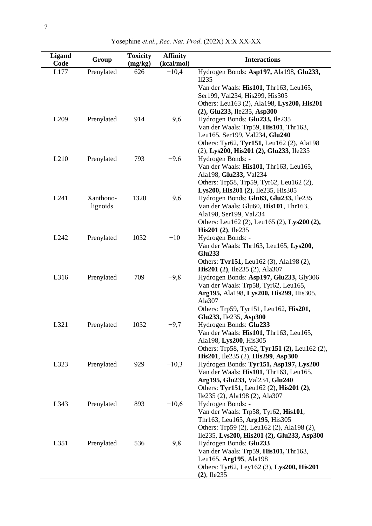| <b>Ligand</b><br>Code | Group      | <b>Toxicity</b><br>(mg/kg) | <b>Affinity</b><br>(kcal/mol) | <b>Interactions</b>                                                            |
|-----------------------|------------|----------------------------|-------------------------------|--------------------------------------------------------------------------------|
| L177                  | Prenylated | 626                        | $-10,4$                       | Hydrogen Bonds: Asp197, Ala198, Glu233,<br>Il <sub>235</sub>                   |
|                       |            |                            |                               | Van der Waals: His101, Thr163, Leu165,                                         |
|                       |            |                            |                               | Ser199, Val234, His299, His305                                                 |
|                       |            |                            |                               | Others: Leu163 (2), Ala198, Lys200, His201                                     |
|                       |            |                            |                               | (2), Glu233, Ile235, Asp300                                                    |
| L <sub>209</sub>      | Prenylated | 914                        | $-9,6$                        | Hydrogen Bonds: Glu233, Ile235                                                 |
|                       |            |                            |                               | Van der Waals: Trp59, His101, Thr163,                                          |
|                       |            |                            |                               | Leu165, Ser199, Val234, Glu240                                                 |
|                       |            |                            |                               | Others: Tyr62, Tyr151, Leu162 (2), Ala198                                      |
|                       |            |                            |                               | (2), Lys200, His201 (2), Glu233, Ile235                                        |
| L210                  | Prenylated | 793                        | $-9,6$                        | Hydrogen Bonds: -                                                              |
|                       |            |                            |                               | Van der Waals: His101, Thr163, Leu165,                                         |
|                       |            |                            |                               | Ala198, Glu233, Val234                                                         |
|                       |            |                            |                               | Others: Trp58, Trp59, Tyr62, Leu162 (2),                                       |
| L241                  | Xanthono-  | 1320                       | $-9,6$                        | Lys200, His201 (2), Ile235, His305                                             |
|                       | lignoids   |                            |                               | Hydrogen Bonds: Gln63, Glu233, Ile235<br>Van der Waals: Glu60, His101, Thr163, |
|                       |            |                            |                               | Ala198, Ser199, Val234                                                         |
|                       |            |                            |                               | Others: Leu162 (2), Leu165 (2), Lys200 (2),                                    |
|                       |            |                            |                               | His201 (2), Ile235                                                             |
| L242                  | Prenylated | 1032                       | $-10$                         | Hydrogen Bonds: -                                                              |
|                       |            |                            |                               | Van der Waals: Thr163, Leu165, Lys200,                                         |
|                       |            |                            |                               | <b>Glu233</b>                                                                  |
|                       |            |                            |                               | Others: Tyr151, Leu162 (3), Ala198 (2),                                        |
|                       |            |                            |                               | His201 (2), Ile235 (2), Ala307                                                 |
| L316                  | Prenylated | 709                        | $-9,8$                        | Hydrogen Bonds: Asp197, Glu233, Gly306                                         |
|                       |            |                            |                               | Van der Waals: Trp58, Tyr62, Leu165,                                           |
|                       |            |                            |                               | Arg195, Ala198, Lys200, His299, His305,                                        |
|                       |            |                            |                               | Ala307                                                                         |
|                       |            |                            |                               | Others: Trp59, Tyr151, Leu162, His201,                                         |
|                       |            |                            |                               | Glu233, Ile235, Asp300                                                         |
| L321                  | Prenylated | 1032                       | $-9,7$                        | Hydrogen Bonds: Glu233                                                         |
|                       |            |                            |                               | Van der Waals: His101, Thr163, Leu165,<br>Ala198, Lys200, His305               |
|                       |            |                            |                               | Others: Trp58, Tyr62, Tyr151 (2), Leu162 (2),                                  |
|                       |            |                            |                               | His201, Ile235 (2), His299, Asp300                                             |
| L323                  | Prenylated | 929                        | $-10,3$                       | Hydrogen Bonds: Tyr151, Asp197, Lys200                                         |
|                       |            |                            |                               | Van der Waals: His101, Thr163, Leu165,                                         |
|                       |            |                            |                               | Arg195, Glu233, Val234, Glu240                                                 |
|                       |            |                            |                               | Others: Tyr151, Leu162 (2), His201 (2),                                        |
|                       |            |                            |                               | Ile235 (2), Ala198 (2), Ala307                                                 |
| L343                  | Prenylated | 893                        | $-10,6$                       | Hydrogen Bonds: -                                                              |
|                       |            |                            |                               | Van der Waals: Trp58, Tyr62, His101,                                           |
|                       |            |                            |                               | Thr163, Leu165, Arg195, His305                                                 |
|                       |            |                            |                               | Others: Trp59 (2), Leu162 (2), Ala198 (2),                                     |
|                       |            |                            |                               | Ile235, Lys200, His201 (2), Glu233, Asp300                                     |
| L351                  | Prenylated | 536                        | $-9,8$                        | Hydrogen Bonds: Glu233                                                         |
|                       |            |                            |                               | Van der Waals: Trp59, His101, Thr163,                                          |
|                       |            |                            |                               | Leu165, Arg195, Ala198                                                         |
|                       |            |                            |                               | Others: Tyr62, Ley162 (3), Lys200, His201                                      |
|                       |            |                            |                               | $(2)$ , Ile235                                                                 |

| Yosephine et.al., Rec. Nat. Prod. (202X) X:X XX-XX |  |  |
|----------------------------------------------------|--|--|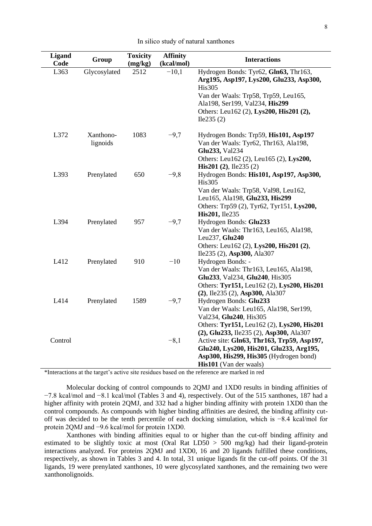|  |  |  |  |  |  | In silico study of natural xanthones |
|--|--|--|--|--|--|--------------------------------------|
|--|--|--|--|--|--|--------------------------------------|

| <b>Ligand</b><br>Code | Group                 | <b>Toxicity</b><br>(mg/kg) | <b>Affinity</b><br>(kcal/mol) | <b>Interactions</b>                                                                                                                                                                                                                 |
|-----------------------|-----------------------|----------------------------|-------------------------------|-------------------------------------------------------------------------------------------------------------------------------------------------------------------------------------------------------------------------------------|
| L363                  | Glycosylated          | 2512                       | $-10,1$                       | Hydrogen Bonds: Tyr62, Gln63, Thr163,<br>Arg195, Asp197, Lys200, Glu233, Asp300,<br><b>His305</b><br>Van der Waals: Trp58, Trp59, Leu165,<br>Ala198, Ser199, Val234, His299<br>Others: Leu162 (2), Lys200, His201 (2),<br>Ile235(2) |
| L372                  | Xanthono-<br>lignoids | 1083                       | $-9,7$                        | Hydrogen Bonds: Trp59, His101, Asp197<br>Van der Waals: Tyr62, Thr163, Ala198,<br>Glu233, Val234<br>Others: Leu162 (2), Leu165 (2), Lys200,<br><b>His201</b> (2), Ile235 (2)                                                        |
| L393                  | Prenylated            | 650                        | $-9,8$                        | Hydrogen Bonds: His101, Asp197, Asp300,<br><b>His305</b><br>Van der Waals: Trp58, Val98, Leu162,<br>Leu165, Ala198, Glu233, His299<br>Others: Trp59 (2), Tyr62, Tyr151, Lys200,<br>His201, Ile235                                   |
| L394                  | Prenylated            | 957                        | $-9,7$                        | Hydrogen Bonds: Glu233<br>Van der Waals: Thr163, Leu165, Ala198,<br>Leu237, Glu240<br>Others: Leu162 (2), Lys200, His201 (2),<br>Ile235 (2), Asp300, Ala307                                                                         |
| L412                  | Prenylated            | 910                        | $-10$                         | Hydrogen Bonds: -<br>Van der Waals: Thr163, Leu165, Ala198,<br>Glu233, Val234, Glu240, His305<br>Others: Tyr151, Leu162 (2), Lys200, His201<br>(2), Ile235 (2), Asp300, Ala307                                                      |
| L414                  | Prenylated            | 1589                       | $-9,7$                        | Hydrogen Bonds: Glu233<br>Van der Waals: Leu165, Ala198, Ser199,<br>Val234, Glu240, His305<br>Others: Tyr151, Leu162 (2), Lys200, His201<br>(2), Glu233, Ile235 (2), Asp300, Ala307                                                 |
| Control               |                       |                            | $-8,1$                        | Active site: Gln63, Thr163, Trp59, Asp197,<br>Glu240, Lys200, His201, Glu233, Arg195,<br>Asp300, His299, His305 (Hydrogen bond)<br>His101 (Van der waals)                                                                           |

\*Interactions at the target's active site residues based on the reference are marked in red

Molecular docking of control compounds to 2QMJ and 1XD0 results in binding affinities of −7.8 kcal/mol and −8.1 kcal/mol (Tables 3 and 4), respectively. Out of the 515 xanthones, 187 had a higher affinity with protein 2QMJ, and 332 had a higher binding affinity with protein 1XD0 than the control compounds. As compounds with higher binding affinities are desired, the binding affinity cutoff was decided to be the tenth percentile of each docking simulation, which is −8.4 kcal/mol for protein 2QMJ and −9.6 kcal/mol for protein 1XD0.

Xanthones with binding affinities equal to or higher than the cut-off binding affinity and estimated to be slightly toxic at most (Oral Rat  $LD50 > 500$  mg/kg) had their ligand-protein interactions analyzed. For proteins 2QMJ and 1XD0, 16 and 20 ligands fulfilled these conditions, respectively, as shown in Tables 3 and 4. In total, 31 unique ligands fit the cut-off points. Of the 31 ligands, 19 were prenylated xanthones, 10 were glycosylated xanthones, and the remaining two were xanthonolignoids.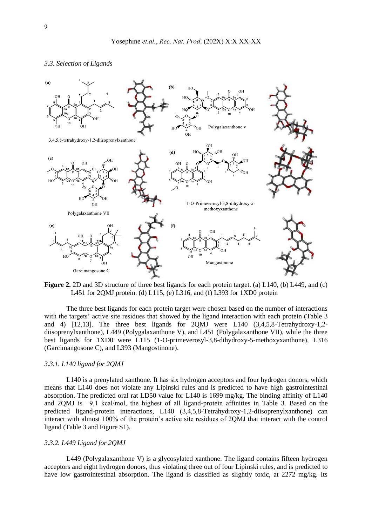# *3.3. Selection of Ligands*



Figure 2. 2D and 3D structure of three best ligands for each protein target. (a) L140, (b) L449, and (c) L451 for 2QMJ protein. (d) L115, (e) L316, and (f) L393 for 1XD0 protein

The three best ligands for each protein target were chosen based on the number of interactions with the targets' active site residues that showed by the ligand interaction with each protein (Table 3) and 4) [12,13]. The three best ligands for  $20MJ$  were L140  $(3,4,5,8$ -Tetrahydroxy-1,2diisoprenylxanthone), L449 (Polygalaxanthone V), and L451 (Polygalaxanthone VII), while the three best ligands for 1XD0 were L115 (1-O-primeverosyl-3,8-dihydroxy-5-methoxyxanthone), L316 (Garcimangosone C), and L393 (Mangostinone).

# *3.3.1. L140 ligand for 2QMJ*

L140 is a prenylated xanthone. It has six hydrogen acceptors and four hydrogen donors, which means that L140 does not violate any Lipinski rules and is predicted to have high gastrointestinal absorption. The predicted oral rat LD50 value for L140 is 1699 mg/kg. The binding affinity of L140 and 2QMJ is −9,1 kcal/mol, the highest of all ligand-protein affinities in Table 3. Based on the predicted ligand-protein interactions, L140 (3,4,5,8-Tetrahydroxy-1,2-diisoprenylxanthone) can interact with almost 100% of the protein's active site residues of 2QMJ that interact with the control ligand (Table 3 and Figure S1).

# *3.3.2. L449 Ligand for 2QMJ*

L449 (Polygalaxanthone V) is a glycosylated xanthone. The ligand contains fifteen hydrogen acceptors and eight hydrogen donors, thus violating three out of four Lipinski rules, and is predicted to have low gastrointestinal absorption. The ligand is classified as slightly toxic, at 2272 mg/kg. Its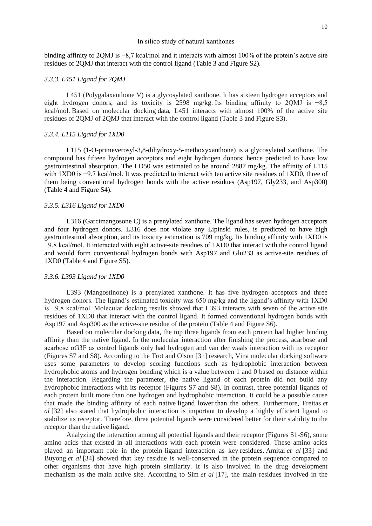binding affinity to 2QMJ is −8,7 kcal/mol and it interacts with almost 100% of the protein's active site residues of 2QMJ that interact with the control ligand (Table 3 and Figure S2).

# *3.3.3. L451 Ligand for 2QMJ*

L451 (Polygalaxanthone V) is a glycosylated xanthone. It has sixteen hydrogen acceptors and eight hydrogen donors, and its toxicity is 2598 mg/kg. Its binding affinity to 2QMJ is −8,5 kcal/mol. Based on molecular docking data, L451 interacts with almost 100% of the active site residues of 2QMJ of 2QMJ that interact with the control ligand (Table 3 and Figure S3).

### *3.3.4. L115 Ligand for 1XD0*

L115 (1-O-primeverosyl-3,8-dihydroxy-5-methoxyxanthone) is a glycosylated xanthone. The compound has fifteen hydrogen acceptors and eight hydrogen donors; hence predicted to have low gastrointestinal absorption. The LD50 was estimated to be around 2887 mg/kg. The affinity of L115 with 1XD0 is −9.7 kcal/mol. It was predicted to interact with ten active site residues of 1XD0, three of them being conventional hydrogen bonds with the active residues (Asp197, Gly233, and Asp300) (Table 4 and Figure S4).

### *3.3.5. L316 Ligand for 1XD0*

L316 (Garcimangosone C) is a prenylated xanthone. The ligand has seven hydrogen acceptors and four hydrogen donors. L316 does not violate any Lipinski rules, is predicted to have high gastrointestinal absorption, and its toxicity estimation is 709 mg/kg. Its binding affinity with 1XD0 is −9.8 kcal/mol. It interacted with eight active-site residues of 1XD0 that interact with the control ligand and would form conventional hydrogen bonds with Asp197 and Glu233 as active-site residues of 1XD0 (Table 4 and Figure S5).

### *3.3.6. L393 Ligand for 1XD0*

L393 (Mangostinone) is a prenylated xanthone. It has five hydrogen acceptors and three hydrogen donors. The ligand's estimated toxicity was 650 mg/kg and the ligand's affinity with 1XD0 is −9.8 kcal/mol. Molecular docking results showed that L393 interacts with seven of the active site residues of 1XD0 that interact with the control ligand. It formed conventional hydrogen bonds with Asp197 and Asp300 as the active-site residue of the protein (Table 4 and Figure S6).

Based on molecular docking data, the top three ligands from each protein had higher binding affinity than the native ligand. In the molecular interaction after finishing the process, acarbose and acarbose αG3F as control ligands only had hydrogen and van der waals interaction with its receptor (Figures S7 and S8). According to the Trot and Olson [31] research, Vina molecular docking software uses some parameters to develop scoring functions such as hydrophobic interaction between hydrophobic atoms and hydrogen bonding which is a value between 1 and 0 based on distance within the interaction. Regarding the parameter, the native ligand of each protein did not build any hydrophobic interactions with its receptor (Figures S7 and S8). In contrast, three potential ligands of each protein built more than one hydrogen and hydrophobic interaction. It could be a possible cause that made the binding affinity of each native ligand lower than the others. Furthermore, Freitas *et al* [32] also stated that hydrophobic interaction is important to develop a highly efficient ligand to stabilize its receptor. Therefore, three potential ligands were considered better for their stability to the receptor than the native ligand.

Analyzing the interaction among all potential ligands and their receptor (Figures S1-S6), some amino acids that existed in all interactions with each protein were considered. These amino acids played an important role in the protein-ligand interaction as key residues. Amitai *et al* [33] and Buyong *et al* [34] showed that key residue is well-conserved in the protein sequence compared to other organisms that have high protein similarity. It is also involved in the drug development mechanism as the main active site. According to Sim *et al* [17], the main residues involved in the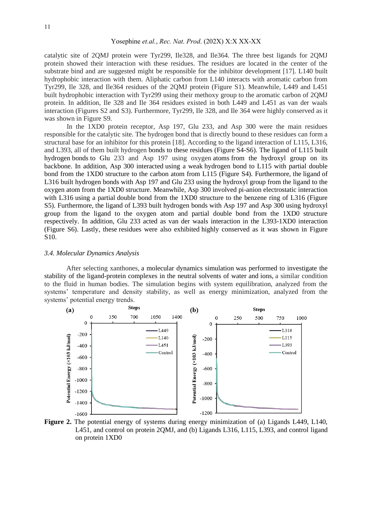catalytic site of 2QMJ protein were Tyr299, Ile328, and Ile364. The three best ligands for 2QMJ protein showed their interaction with these residues. The residues are located in the center of the substrate bind and are suggested might be responsible for the inhibitor development [17]. L140 built hydrophobic interaction with them. Aliphatic carbon from L140 interacts with aromatic carbon from Tyr299, Ile 328, and Ile364 residues of the 2QMJ protein (Figure S1). Meanwhile, L449 and L451 built hydrophobic interaction with Tyr299 using their methoxy group to the aromatic carbon of 2QMJ protein. In addition, Ile 328 and Ile 364 residues existed in both L449 and L451 as van der waals interaction (Figures S2 and S3). Furthermore, Tyr299, Ile 328, and Ile 364 were highly conserved as it was shown in Figure S9.

 In the 1XD0 protein receptor, Asp 197, Glu 233, and Asp 300 were the main residues responsible for the catalytic site. The hydrogen bond that is directly bound to these residues can form a structural base for an inhibitor for this protein [18]. According to the ligand interaction of L115, L316, and L393, all of them built hydrogen bonds to these residues (Figure S4-S6). The ligand of L115 built hydrogen bonds to Glu 233 and Asp 197 using oxygen atoms from the hydroxyl group on its backbone. In addition, Asp 300 interacted using a weak hydrogen bond to L115 with partial double bond from the 1XD0 structure to the carbon atom from L115 (Figure S4). Furthermore, the ligand of L316 built hydrogen bonds with Asp 197 and Glu 233 using the hydroxyl group from the ligand to the oxygen atom from the 1XD0 structure. Meanwhile, Asp 300 involved pi-anion electrostatic interaction with L316 using a partial double bond from the 1XD0 structure to the benzene ring of L316 (Figure S5). Furthermore, the ligand of L393 built hydrogen bonds with Asp 197 and Asp 300 using hydroxyl group from the ligand to the oxygen atom and partial double bond from the 1XD0 structure respectively. In addition, Glu 233 acted as van der waals interaction in the L393-1XD0 interaction (Figure S6). Lastly, these residues were also exhibited highly conserved as it was shown in Figure S10.

### *3.4. Molecular Dynamics Analysis*

After selecting xanthones, a molecular dynamics simulation was performed to investigate the stability of the ligand-protein complexes in the neutral solvents of water and ions, a similar condition to the fluid in human bodies. The simulation begins with system equilibration, analyzed from the systems' temperature and density stability, as well as energy minimization, analyzed from the systems' potential energy trends.



**Figure 2.** The potential energy of systems during energy minimization of (a) Ligands L449, L140, L451, and control on protein 2QMJ, and (b) Ligands L316, L115, L393, and control ligand on protein 1XD0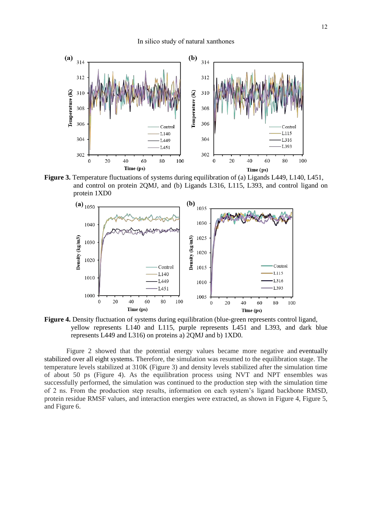

**Figure 3.** Temperature fluctuations of systems during equilibration of (a) Ligands L449, L140, L451, and control on protein 2QMJ, and (b) Ligands L316, L115, L393, and control ligand on protein 1XD0



**Figure 4.** Density fluctuation of systems during equilibration (blue-green represents control ligand, yellow represents L140 and L115, purple represents L451 and L393, and dark blue represents L449 and L316) on proteins a) 2QMJ and b) 1XD0.

Figure 2 showed that the potential energy values became more negative and eventually stabilized over all eight systems. Therefore, the simulation was resumed to the equilibration stage. The temperature levels stabilized at 310K (Figure 3) and density levels stabilized after the simulation time of about 50 ps (Figure 4). As the equilibration process using NVT and NPT ensembles was successfully performed, the simulation was continued to the production step with the simulation time of 2 ns. From the production step results, information on each system's ligand backbone RMSD, protein residue RMSF values, and interaction energies were extracted, as shown in Figure 4, Figure 5, and Figure 6.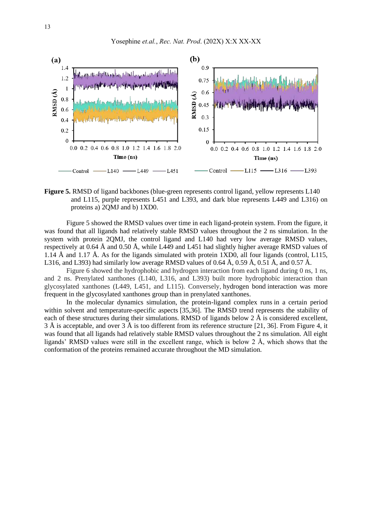

**Figure 5.** RMSD of ligand backbones (blue-green represents control ligand, yellow represents L140 and L115, purple represents L451 and L393, and dark blue represents L449 and L316) on proteins a) 2QMJ and b) 1XD0.

Figure 5 showed the RMSD values over time in each ligand-protein system. From the figure, it was found that all ligands had relatively stable RMSD values throughout the 2 ns simulation. In the system with protein 2QMJ, the control ligand and L140 had very low average RMSD values, respectively at 0.64 Å and 0.50 Å, while L449 and L451 had slightly higher average RMSD values of 1.14 Å and 1.17 Å. As for the ligands simulated with protein 1XD0, all four ligands (control, L115, L316, and L393) had similarly low average RMSD values of 0.64 Å, 0.59 Å, 0.51 Å, and 0.57 Å.

Figure 6 showed the hydrophobic and hydrogen interaction from each ligand during 0 ns, 1 ns, and 2 ns. Prenylated xanthones (L140, L316, and L393) built more hydrophobic interaction than glycosylated xanthones (L449, L451, and L115). Conversely, hydrogen bond interaction was more frequent in the glycosylated xanthones group than in prenylated xanthones.

In the molecular dynamics simulation, the protein-ligand complex runs in a certain period within solvent and temperature-specific aspects [35,36]. The RMSD trend represents the stability of each of these structures during their simulations. RMSD of ligands below 2 Å is considered excellent, 3 Å is acceptable, and over 3 Å is too different from its reference structure [21, 36]. From Figure 4, it was found that all ligands had relatively stable RMSD values throughout the 2 ns simulation. All eight ligands' RMSD values were still in the excellent range, which is below 2 Å, which shows that the conformation of the proteins remained accurate throughout the MD simulation.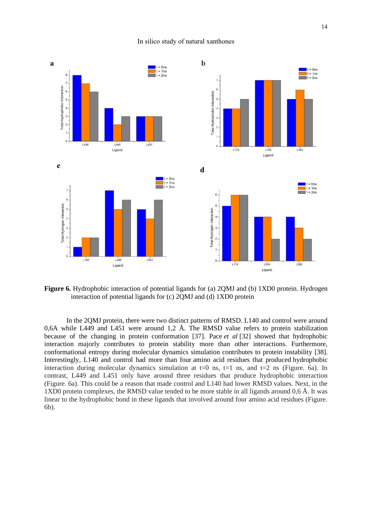

**Figure 6.** Hydrophobic interaction of potential ligands for (a) 2QMJ and (b) 1XD0 protein. Hydrogen interaction of potential ligands for (c) 2QMJ and (d) 1XD0 protein

In the 2QMJ protein, there were two distinct patterns of RMSD. L140 and control were around 0,6A while L449 and L451 were around 1,2 Å. The RMSD value refers to protein stabilization because of the changing in protein conformation [37]. Pace *et al* [32] showed that hydrophobic interaction majorly contributes to protein stability more than other interactions. Furthermore, conformational entropy during molecular dynamics simulation contributes to protein instability [38]. Interestingly, L140 and control had more than four amino acid residues that produced hydrophobic interaction during molecular dynamics simulation at  $t=0$  ns,  $t=1$  ns, and  $t=2$  ns (Figure. 6a). In contrast, L449 and L451 only have around three residues that produce hydrophobic interaction (Figure. 6a). This could be a reason that made control and L140 had lower RMSD values. Next, in the 1XD0 protein complexes, the RMSD value tended to be more stable in all ligands around 0,6 Å. It was linear to the hydrophobic bond in these ligands that involved around four amino acid residues (Figure. 6b).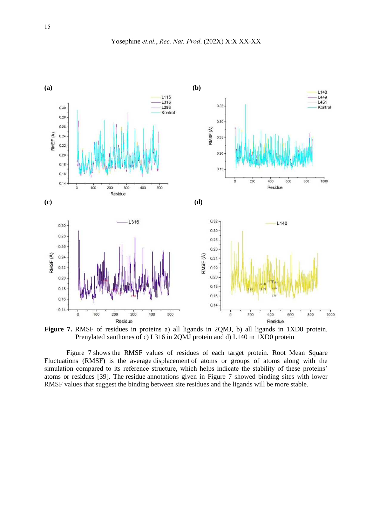

**Figure 7.** RMSF of residues in proteins a) all ligands in 2QMJ, b) all ligands in 1XD0 protein. Prenylated xanthones of c) L316 in 2QMJ protein and d) L140 in 1XD0 protein

Figure 7 shows the RMSF values of residues of each target protein. Root Mean Square Fluctuations (RMSF) is the average displacement of atoms or groups of atoms along with the simulation compared to its reference structure, which helps indicate the stability of these proteins' atoms or residues [39]. The residue annotations given in Figure 7 showed binding sites with lower RMSF values that suggest the binding between site residues and the ligands will be more stable.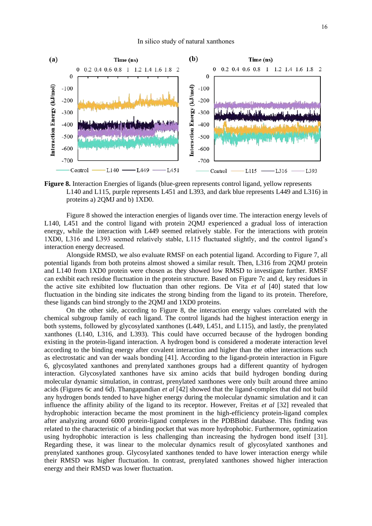

**Figure 8.** Interaction Energies of ligands (blue-green represents control ligand, yellow represents L140 and L115, purple represents L451 and L393, and dark blue represents L449 and L316) in proteins a) 2QMJ and b) 1XD0.

Figure 8 showed the interaction energies of ligands over time. The interaction energy levels of L140, L451 and the control ligand with protein 2QMJ experienced a gradual loss of interaction energy, while the interaction with L449 seemed relatively stable. For the interactions with protein 1XD0, L316 and L393 seemed relatively stable, L115 fluctuated slightly, and the control ligand's interaction energy decreased.

Alongside RMSD, we also evaluate RMSF on each potential ligand. According to Figure 7, all potential ligands from both proteins almost showed a similar result. Then, L316 from 2QMJ protein and L140 from 1XD0 protein were chosen as they showed low RMSD to investigate further. RMSF can exhibit each residue fluctuation in the protein structure. Based on Figure 7c and d, key residues in the active site exhibited low fluctuation than other regions. De Vita *et al* [40] stated that low fluctuation in the binding site indicates the strong binding from the ligand to its protein. Therefore, these ligands can bind strongly to the 2QMJ and 1XD0 proteins.

On the other side, according to Figure 8, the interaction energy values correlated with the chemical subgroup family of each ligand. The control ligands had the highest interaction energy in both systems, followed by glycosylated xanthones (L449, L451, and L115), and lastly, the prenylated xanthones (L140, L316, and L393). This could have occurred because of the hydrogen bonding existing in the protein-ligand interaction. A hydrogen bond is considered a moderate interaction level according to the binding energy after covalent interaction and higher than the other interactions such as electrostatic and van der waals bonding [41]. According to the ligand-protein interaction in Figure 6, glycosylated xanthones and prenylated xanthones groups had a different quantity of hydrogen interaction. Glycosylated xanthones have six amino acids that build hydrogen bonding during molecular dynamic simulation, in contrast, prenylated xanthones were only built around three amino acids (Figures 6c and 6d). Thangapandian *et al* [42] showed that the ligand-complex that did not build any hydrogen bonds tended to have higher energy during the molecular dynamic simulation and it can influence the affinity ability of the ligand to its receptor. However, Freitas *et al* [32] revealed that hydrophobic interaction became the most prominent in the high-efficiency protein-ligand complex after analyzing around 6000 protein-ligand complexes in the PDBBind database. This finding was related to the characteristic of a binding pocket that was more hydrophobic. Furthermore, optimization using hydrophobic interaction is less challenging than increasing the hydrogen bond itself [31]. Regarding these, it was linear to the molecular dynamics result of glycosylated xanthones and prenylated xanthones group. Glycosylated xanthones tended to have lower interaction energy while their RMSD was higher fluctuation. In contrast, prenylated xanthones showed higher interaction energy and their RMSD was lower fluctuation.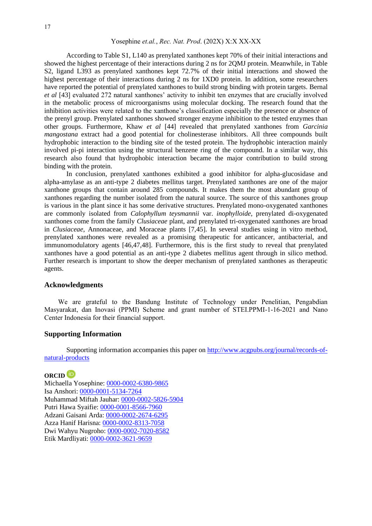# Yosephine *et.al.*, *Rec. Nat. Prod*. (202X) X:X XX-XX

According to Table S1, L140 as prenylated xanthones kept 70% of their initial interactions and showed the highest percentage of their interactions during 2 ns for 2QMJ protein. Meanwhile, in Table S2, ligand L393 as prenylated xanthones kept 72.7% of their initial interactions and showed the highest percentage of their interactions during 2 ns for 1XD0 protein. In addition, some researchers have reported the potential of prenylated xanthones to build strong binding with protein targets. Bernal *et al* [43] evaluated 272 natural xanthones' activity to inhibit ten enzymes that are crucially involved in the metabolic process of microorganisms using molecular docking. The research found that the inhibition activities were related to the xanthone's classification especially the presence or absence of the prenyl group. Prenylated xanthones showed stronger enzyme inhibition to the tested enzymes than other groups. Furthermore, Khaw *et al* [44] revealed that prenylated xanthones from *Garcinia mangostana* extract had a good potential for cholinesterase inhibitors. All three compounds built hydrophobic interaction to the binding site of the tested protein. The hydrophobic interaction mainly involved pi-pi interaction using the structural benzene ring of the compound. In a similar way, this research also found that hydrophobic interaction became the major contribution to build strong binding with the protein.

In conclusion, prenylated xanthones exhibited a good inhibitor for alpha-glucosidase and alpha-amylase as an anti-type 2 diabetes mellitus target. Prenylated xanthones are one of the major xanthone groups that contain around 285 compounds. It makes them the most abundant group of xanthones regarding the number isolated from the natural source. The source of this xanthones group is various in the plant since it has some derivative structures. Prenylated mono-oxygenated xanthones are commonly isolated from *Calophyllum teysmannii* var. *inophylloide*, prenylated di-oxygenated xanthones come from the family *Clusiaceae* plant, and prenylated tri-oxygenated xanthones are broad in *Clusiaceae*, Annonaceae, and Moraceae plants [7,45]. In several studies using in vitro method, prenylated xanthones were revealed as a promising therapeutic for anticancer, antibacterial, and immunomodulatory agents [46,47,48]. Furthermore, this is the first study to reveal that prenylated xanthones have a good potential as an anti-type 2 diabetes mellitus agent through in silico method. Further research is important to show the deeper mechanism of prenylated xanthones as therapeutic agents.

# **Acknowledgments**

We are grateful to the Bandung Institute of Technology under Penelitian, Pengabdian Masyarakat, dan Inovasi (PPMI) Scheme and grant number of STEI.PPMI-1-16-2021 and Nano Center Indonesia for their financial support.

# **Supporting Information**

Supporting information accompanies this paper on [http://www.acgpubs.org/journal/records-of](http://www.acgpubs.org/journal/records-of-natural-products)[natural-products](http://www.acgpubs.org/journal/records-of-natural-products)

# **ORCID**

Michaella Yosephine: [0000-0002-6380-9865](https://orcid.org/0000-0002-6380-9865) Isa Anshori[: 0000-0001-5134-7264](https://orcid.org/0000-0001-5134-7264) Muhammad Miftah Jauhar: [0000-0002-5826-5904](https://orcid.org/0000-0002-5826-5904) Putri Hawa Syaifie: [0000-0001-8566-7960](https://orcid.org/0000-0001-8566-7960) Adzani Gaisani Arda: [0000-0002-2674-6295](https://orcid.org/0000-0002-2674-6295) Azza Hanif Harisna: [0000-0002-8313-7058](https://orcid.org/0000-0002-8313-7058) Dwi Wahyu Nugroho: [0000-0002-7020-8582](https://orcid.org/0000-0002-7020-8582) Etik Mardliyati: [0000-0002-3621-9659](https://orcid.org/0000-0002-3621-9659)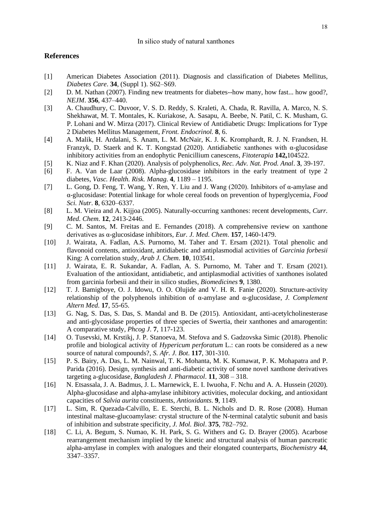# **References**

- [1] American Diabetes Association (2011). Diagnosis and classification of Diabetes Mellitus, *Diabetes Care*. **34**, (Suppl 1). S62–S69.
- [2] D. M. Nathan (2007). Finding new treatments for diabetes--how many, how fast... how good?, *NEJM*. **356**, 437–440.
- [3] A. Chaudhury, C. Duvoor, V. S. D. Reddy, S. Kraleti, A. Chada, R. Ravilla, A. Marco, N. S. Shekhawat, M. T. Montales, K. Kuriakose, A. Sasapu, A. Beebe, N. Patil, C. K. Musham, G. P. Lohani and W. Mirza (2017). Clinical Review of Antidiabetic Drugs: Implications for Type 2 Diabetes Mellitus Management, *Front. Endocrinol.* **8**, 6.
- [4] A. Malik, H. Ardalani, S. Anam, L. M. McNair, K. J. K. Kromphardt, R. J. N. Frandsen, H. Franzyk, D. Staerk and K. T. Kongstad (2020). Antidiabetic xanthones with α-glucosidase inhibitory activities from an endophytic Penicillium canescens, *Fitoterapia* **142,**104522.
- [5] K. Niaz and F. Khan (2020). Analysis of polyphenolics, *Rec. Adv. Nat. Prod. Anal*. **3**, 39-197.
- [6] F. A. Van de Laar (2008). Alpha-glucosidase inhibitors in the early treatment of type 2 diabetes, *Vasc. Health. Risk. Manag*. **4**, 1189 – 1195.
- [7] L. Gong, D. Feng, T. Wang, Y. Ren, Y. Liu and J. Wang (2020). Inhibitors of α-amylase and α-glucosidase: Potential linkage for whole cereal foods on prevention of hyperglycemia, *Food Sci. Nutr*. **8**, 6320–6337.
- [8] L. M. Vieira and A. Kijjoa (2005). Naturally-occurring xanthones: recent developments, *Curr. Med. Chem*. **12**, 2413-2446.
- [9] C. M. Santos, M. Freitas and E. Fernandes (2018). A comprehensive review on xanthone derivatives as α-glucosidase inhibitors, *Eur. J. Med. Chem*. **157**, 1460-1479.
- [10] J. Wairata, A. Fadlan, A.S. Purnomo, M. Taher and T. Ersam (2021). Total phenolic and flavonoid contents, antioxidant, antidiabetic and antiplasmodial activities of *Garcinia forbesii* King: A correlation study, *Arab J. Chem*. **10**, 103541.
- [11] J. Wairata, E. R. Sukandar, A. Fadlan, A. S. Purnomo, M. Taher and T. Ersam (2021). Evaluation of the antioxidant, antidiabetic, and antiplasmodial activities of xanthones isolated from garcinia forbesii and their in silico studies, *Biomedicines* **9**, 1380.
- [12] T. J. Bamigboye, O. J. Idowu, O. O. Olujide and V. H. R. Fanie (2020). Structure-activity relationship of the polyphenols inhibition of α-amylase and α-glucosidase, *J. Complement Altern Med*. **17**, 55-65.
- [13] G. Nag, S. Das, S. Das, S. Mandal and B. De (2015). Antioxidant, anti-acetylcholinesterase and anti-glycosidase properties of three species of Swertia, their xanthones and amarogentin: A comparative study, *Phcog J*. **7**, 117-123.
- [14] O. Tusevski, M. Krstikj, J. P. Stanoeva, M. Stefova and S. Gadzovska Simic (2018). Phenolic profile and biological activity of *Hypericum perforatum* L.: can roots be considered as a new source of natural compounds?, *S. Afr. J. Bot*. **117**, 301-310.
- [15] P. S. Bairy, A. Das, L. M. Nainwal, T. K. Mohanta, M. K. Kumawat, P. K. Mohapatra and P. Parida (2016). Design, synthesis and anti-diabetic activity of some novel xanthone derivatives targeting a-glucosidase, *Bangladesh J. Pharmacol*. **11**, 308 – 318.
- [16] N. Etsassala, J. A. Badmus, J. L. Marnewick, E. I. Iwuoha, F. Nchu and A. A. Hussein (2020). Alpha-glucosidase and alpha-amylase inhibitory activities, molecular docking, and antioxidant capacities of *Salvia aurita* constituents, *Antioxidants*. **9**, 1149.
- [17] L. Sim, R. Quezada-Calvillo, E. E. Sterchi, B. L. Nichols and D. R. Rose (2008). Human intestinal maltase-glucoamylase: crystal structure of the N-terminal catalytic subunit and basis of inhibition and substrate specificity, *J. Mol. Biol*. **375**, 782–792.
- [18] C. Li, A. Begum, S. Numao, K. H. Park, S. G. Withers and G. D. Brayer (2005). Acarbose rearrangement mechanism implied by the kinetic and structural analysis of human pancreatic alpha-amylase in complex with analogues and their elongated counterparts, *Biochemistry* **44**, 3347–3357.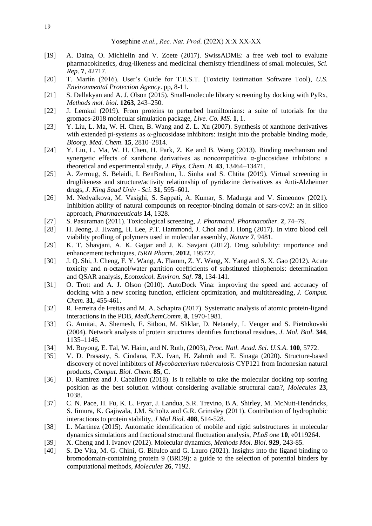- [19] A. Daina, O. Michielin and V. Zoete (2017). SwissADME: a free web tool to evaluate pharmacokinetics, drug-likeness and medicinal chemistry friendliness of small molecules, *Sci. Rep*. **7**, 42717.
- [20] T. Martin (2016). User's Guide for T.E.S.T. (Toxicity Estimation Software Tool), *U.S. Environmental Protection Agency*. pp, 8-11.
- [21] S. Dallakyan and A. J. Olson (2015). Small-molecule library screening by docking with PyRx, *Methods mol. biol*. **1263**, 243–250.
- [22] J. Lemkul (2019). From proteins to perturbed hamiltonians: a suite of tutorials for the gromacs-2018 molecular simulation package, *Live. Co. MS.* **1**, 1.
- [23] Y. Liu, L. Ma, W. H. Chen, B. Wang and Z. L. Xu (2007). Synthesis of xanthone derivatives with extended pi-systems as  $\alpha$ -glucosidase inhibitors: insight into the probable binding mode, *Bioorg. Med. Chem*. **15**, 2810–2814.
- [24] Y. Liu, L. Ma, W. H. Chen, H. Park, Z. Ke and B. Wang (2013). Binding mechanism and synergetic effects of xanthone derivatives as noncompetitive α-glucosidase inhibitors: a theoretical and experimental study, *J. Phys. Chem. B*. **43**, 13464–13471.
- [25] A. Zerroug, S. Belaidi, I. BenBrahim, L. Sinha and S. Chtita (2019). Virtual screening in druglikeness and structure/activity relationship of pyridazine derivatives as Anti-Alzheimer drugs, *J. King Saud Univ - Sci*. **31**, 595–601.
- [26] M. Nedyalkova, M. Vasighi, S. Sappati, A. Kumar, S. Madurga and V. Simeonov (2021). Inhibition ability of natural compounds on receptor-binding domain of sars-cov2: an in silico approach, *Pharmaceuticals* **14**, 1328.
- [27] S. Pasuraman (2011). Toxicological screening, *J. Pharmacol. Pharmacother*. **2**, 74–79.
- [28] H. Jeong, J. Hwang, H. Lee, P.T. Hammond, J. Choi and J. Hong (2017). In vitro blood cell viability profling of polymers used in molecular assembly, *Nature* **7**, 9481.
- [29] K. T. Shavjani, A. K. Gajjar and J. K. Savjani (2012). Drug solubility: importance and enhancement techniques, *ISRN Pharm*. **2012**, 195727.
- [30] J. Q. Shi, J. Cheng, F. Y. Wang, A. Flamm, Z. Y. Wang, X. Yang and S. X. Gao (2012). Acute toxicity and n-octanol/water partition coefficients of substituted thiophenols: determination and QSAR analysis, *Ecotoxicol. Environ. Saf*. **78**, 134-141.
- [31] O. Trott and A. J. Olson (2010). AutoDock Vina: improving the speed and accuracy of docking with a new scoring function, efficient optimization, and multithreading, *J. Comput. Chem*. **31**, 455-461.
- [32] R. Ferreira de Freitas and M. A. Schapira (2017). Systematic analysis of atomic protein-ligand interactions in the PDB, *MedChemComm*. **8**, 1970-1981.
- [33] G. Amitai, A. Shemesh, E. Sitbon, M. Shklar, D. Netanely, I. Venger and S. Pietrokovski (2004). Network analysis of protein structures identifies functional residues, *J. Mol. Biol*. **344**, 1135–1146.
- [34] M. Buyong, E. Tal, W. Haim, and N. Ruth, (2003), *Proc. Natl. Acad. Sci*. *U.S.A*. **100**, 5772.
- [35] V. D. Prasasty, S. Cindana, F.X. Ivan, H. Zahroh and E. Sinaga (2020). Structure-based discovery of novel inhibitors of *Mycobacterium tuberculosis* CYP121 from Indonesian natural products, *Comput. Biol. Chem*. **85**, C.
- [36] D. Ramírez and J. Caballero (2018). Is it reliable to take the molecular docking top scoring position as the best solution without considering available structural data?, *Molecules* **23**, 1038.
- [37] C. N. Pace, H. Fu, K. L. Fryar, J. Landua, S.R. Trevino, B.A. Shirley, M. McNutt-Hendricks, S. Iimura, K. Gajiwala, J.M. Scholtz and G.R. Grimsley (2011). Contribution of hydrophobic interactions to protein stability, *J Mol Biol*. **408**, 514-528.
- [38] L. Martinez (2015). Automatic identification of mobile and rigid substructures in molecular dynamics simulations and fractional structural fluctuation analysis, *PLoS one* **10**, e0119264.
- [39] X. Cheng and I. Ivanov (2012). Molecular dynamics, *Methods Mol. Biol*. **929**, 243-85.
- [40] S. De Vita, M. G. Chini, G. Bifulco and G. Lauro (2021). Insights into the ligand binding to bromodomain-containing protein 9 (BRD9): a guide to the selection of potential binders by computational methods, *Molecules* **26**, 7192.